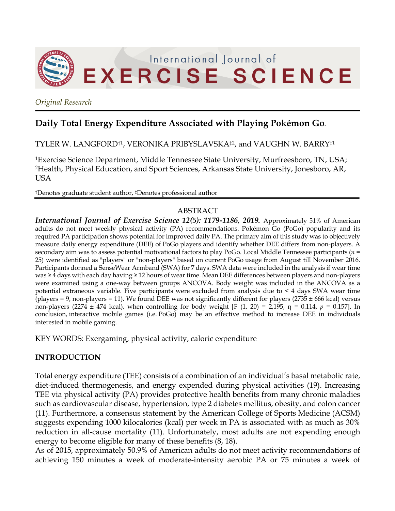

*Original Research*

# **Daily Total Energy Expenditure Associated with Playing Pokémon Go.**

TYLER W. LANGFORD†1, VERONIKA PRIBYSLAVSKA‡2, and VAUGHN W. BARRY‡1

1Exercise Science Department, Middle Tennessee State University, Murfreesboro, TN, USA; 2Health, Physical Education, and Sport Sciences, Arkansas State University, Jonesboro, AR, USA

†Denotes graduate student author, ‡Denotes professional author

# ABSTRACT

*International Journal of Exercise Science 12(5): 1179-1186, 2019.* Approximately 51% of American adults do not meet weekly physical activity (PA) recommendations. Pokémon Go (PoGo) popularity and its required PA participation shows potential for improved daily PA. The primary aim of this study was to objectively measure daily energy expenditure (DEE) of PoGo players and identify whether DEE differs from non-players. A secondary aim was to assess potential motivational factors to play PoGo. Local Middle Tennessee participants (*n* = 25) were identified as "players" or "non-players" based on current PoGo usage from August till November 2016. Participants donned a SenseWear Armband (SWA) for 7 days. SWA data were included in the analysis if wear time was ≥ 4 days with each day having ≥ 12 hours of wear time. Mean DEE differences between players and non-players were examined using a one-way between groups ANCOVA. Body weight was included in the ANCOVA as a potential extraneous variable. Five participants were excluded from analysis due to < 4 days SWA wear time (players = 9, non-players = 11). We found DEE was not significantly different for players (2735  $\pm$  666 kcal) versus non-players (2274 ± 474 kcal), when controlling for body weight [F (1, 20) = 2,195, η = 0.114,  $p = 0.157$ ]. In conclusion, interactive mobile games (i.e. PoGo) may be an effective method to increase DEE in individuals interested in mobile gaming.

KEY WORDS: Exergaming, physical activity, caloric expenditure

# **INTRODUCTION**

Total energy expenditure (TEE) consists of a combination of an individual's basal metabolic rate, diet-induced thermogenesis, and energy expended during physical activities (19). Increasing TEE via physical activity (PA) provides protective health benefits from many chronic maladies such as cardiovascular disease, hypertension, type 2 diabetes mellitus, obesity, and colon cancer (11). Furthermore, a consensus statement by the American College of Sports Medicine (ACSM) suggests expending 1000 kilocalories (kcal) per week in PA is associated with as much as 30% reduction in all-cause mortality (11). Unfortunately, most adults are not expending enough energy to become eligible for many of these benefits (8, 18).

As of 2015, approximately 50.9% of American adults do not meet activity recommendations of achieving 150 minutes a week of moderate-intensity aerobic PA or 75 minutes a week of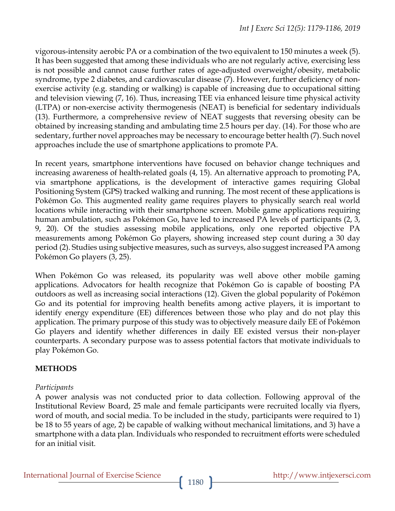vigorous-intensity aerobic PA or a combination of the two equivalent to 150 minutes a week (5). It has been suggested that among these individuals who are not regularly active, exercising less is not possible and cannot cause further rates of age-adjusted overweight/obesity, metabolic syndrome, type 2 diabetes, and cardiovascular disease (7). However, further deficiency of nonexercise activity (e.g. standing or walking) is capable of increasing due to occupational sitting and television viewing (7, 16). Thus, increasing TEE via enhanced leisure time physical activity (LTPA) or non-exercise activity thermogenesis (NEAT) is beneficial for sedentary individuals (13). Furthermore, a comprehensive review of NEAT suggests that reversing obesity can be obtained by increasing standing and ambulating time 2.5 hours per day. (14). For those who are sedentary, further novel approaches may be necessary to encourage better health (7). Such novel approaches include the use of smartphone applications to promote PA.

In recent years, smartphone interventions have focused on behavior change techniques and increasing awareness of health-related goals (4, 15). An alternative approach to promoting PA, via smartphone applications, is the development of interactive games requiring Global Positioning System (GPS) tracked walking and running. The most recent of these applications is Pokémon Go. This augmented reality game requires players to physically search real world locations while interacting with their smartphone screen. Mobile game applications requiring human ambulation, such as Pokémon Go, have led to increased PA levels of participants (2, 3, 9, 20). Of the studies assessing mobile applications, only one reported objective PA measurements among Pokémon Go players, showing increased step count during a 30 day period (2). Studies using subjective measures, such as surveys, also suggest increased PA among Pokémon Go players (3, 25).

When Pokémon Go was released, its popularity was well above other mobile gaming applications. Advocators for health recognize that Pokémon Go is capable of boosting PA outdoors as well as increasing social interactions (12). Given the global popularity of Pokémon Go and its potential for improving health benefits among active players, it is important to identify energy expenditure (EE) differences between those who play and do not play this application. The primary purpose of this study was to objectively measure daily EE of Pokémon Go players and identify whether differences in daily EE existed versus their non-player counterparts. A secondary purpose was to assess potential factors that motivate individuals to play Pokémon Go.

# **METHODS**

# *Participants*

A power analysis was not conducted prior to data collection. Following approval of the Institutional Review Board, 25 male and female participants were recruited locally via flyers, word of mouth, and social media. To be included in the study, participants were required to 1) be 18 to 55 years of age, 2) be capable of walking without mechanical limitations, and 3) have a smartphone with a data plan. Individuals who responded to recruitment efforts were scheduled for an initial visit.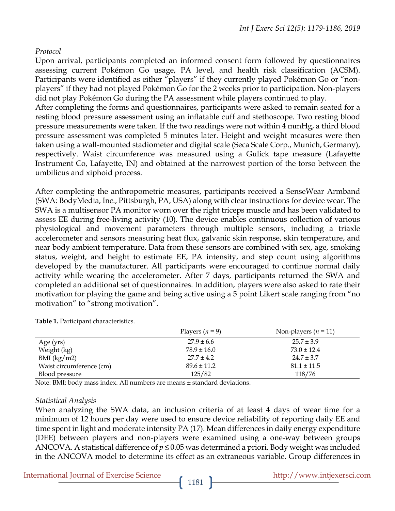#### *Protocol*

Upon arrival, participants completed an informed consent form followed by questionnaires assessing current Pokémon Go usage, PA level, and health risk classification (ACSM). Participants were identified as either "players" if they currently played Pokémon Go or "nonplayers" if they had not played Pokémon Go for the 2 weeks prior to participation. Non-players did not play Pokémon Go during the PA assessment while players continued to play. After completing the forms and questionnaires, participants were asked to remain seated for a resting blood pressure assessment using an inflatable cuff and stethoscope. Two resting blood pressure measurements were taken. If the two readings were not within 4 mmHg, a third blood pressure assessment was completed 5 minutes later. Height and weight measures were then taken using a wall-mounted stadiometer and digital scale (Seca Scale Corp., Munich, Germany), respectively. Waist circumference was measured using a Gulick tape measure (Lafayette Instrument Co, Lafayette, IN) and obtained at the narrowest portion of the torso between the umbilicus and xiphoid process.

After completing the anthropometric measures, participants received a SenseWear Armband (SWA: BodyMedia, Inc., Pittsburgh, PA, USA) along with clear instructions for device wear. The SWA is a multisensor PA monitor worn over the right triceps muscle and has been validated to assess EE during free-living activity (10). The device enables continuous collection of various physiological and movement parameters through multiple sensors, including a triaxle accelerometer and sensors measuring heat flux, galvanic skin response, skin temperature, and near body ambient temperature. Data from these sensors are combined with sex, age, smoking status, weight, and height to estimate EE, PA intensity, and step count using algorithms developed by the manufacturer. All participants were encouraged to continue normal daily activity while wearing the accelerometer. After 7 days, participants returned the SWA and completed an additional set of questionnaires. In addition, players were also asked to rate their motivation for playing the game and being active using a 5 point Likert scale ranging from "no motivation" to "strong motivation".

|                          | Players $(n = 9)$ | Non-players $(n = 11)$ |
|--------------------------|-------------------|------------------------|
| Age (yrs)                | $27.9 \pm 6.6$    | $25.7 \pm 3.9$         |
| Weight (kg)              | $78.9 \pm 16.0$   | $73.0 \pm 12.4$        |
| BMI (kg/m2)              | $27.7 \pm 4.2$    | $24.7 \pm 3.7$         |
| Waist circumference (cm) | $89.6 \pm 11.2$   | $81.1 \pm 11.5$        |
| Blood pressure           | 125/82            | 118/76                 |

**Table 1.** Participant characteristics.

Note: BMI: body mass index. All numbers are means ± standard deviations.

#### *Statistical Analysis*

When analyzing the SWA data, an inclusion criteria of at least 4 days of wear time for a minimum of 12 hours per day were used to ensure device reliability of reporting daily EE and time spent in light and moderate intensity PA (17). Mean differences in daily energy expenditure (DEE) between players and non-players were examined using a one-way between groups ANCOVA. A statistical difference of  $p \le 0.05$  was determined a priori. Body weight was included in the ANCOVA model to determine its effect as an extraneous variable. Group differences in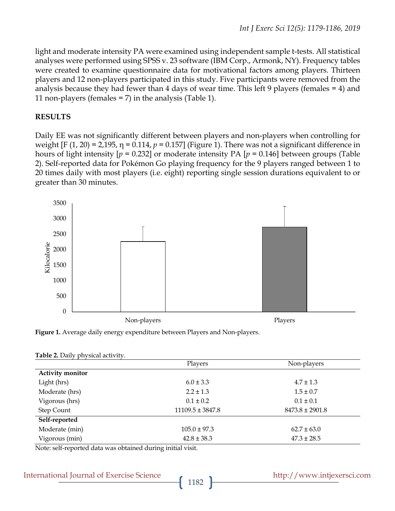light and moderate intensity PA were examined using independent sample t-tests. All statistical analyses were performed using SPSS v. 23 software (IBM Corp., Armonk, NY). Frequency tables were created to examine questionnaire data for motivational factors among players. Thirteen players and 12 non-players participated in this study. Five participants were removed from the analysis because they had fewer than 4 days of wear time. This left 9 players (females = 4) and 11 non-players (females = 7) in the analysis (Table 1).

### **RESULTS**

Daily EE was not significantly different between players and non-players when controlling for weight  $[F (1, 20) = 2,195, \eta = 0.114, p = 0.157]$  (Figure 1). There was not a significant difference in hours of light intensity [*p* = 0.232] or moderate intensity PA [*p* = 0.146] between groups (Table 2). Self-reported data for Pokémon Go playing frequency for the 9 players ranged between 1 to 20 times daily with most players (i.e. eight) reporting single session durations equivalent to or greater than 30 minutes.





|                         | Players              | Non-players         |  |
|-------------------------|----------------------|---------------------|--|
| <b>Activity monitor</b> |                      |                     |  |
| Light (hrs)             | $6.0 \pm 3.3$        | $4.7 \pm 1.3$       |  |
| Moderate (hrs)          | $2.2 \pm 1.3$        | $1.5 \pm 0.7$       |  |
| Vigorous (hrs)          | $0.1 \pm 0.2$        | $0.1 \pm 0.1$       |  |
| <b>Step Count</b>       | $11109.5 \pm 3847.8$ | $8473.8 \pm 2901.8$ |  |
| Self-reported           |                      |                     |  |
| Moderate (min)          | $105.0 \pm 97.3$     | $62.7 \pm 63.0$     |  |
| Vigorous (min)          | $42.8 \pm 38.3$      | $47.3 \pm 28.5$     |  |

|  |  | Table 2. Daily physical activity. |  |
|--|--|-----------------------------------|--|
|--|--|-----------------------------------|--|

Note: self-reported data was obtained during initial visit.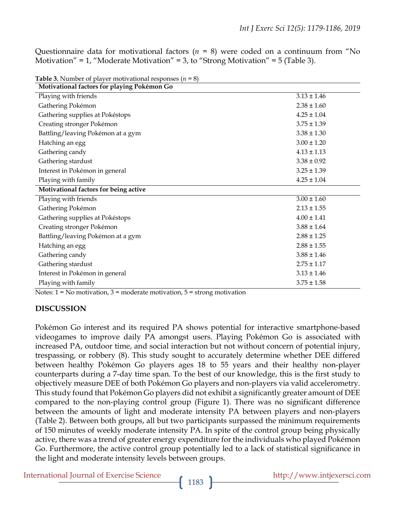Questionnaire data for motivational factors (*n* = 8) were coded on a continuum from "No Motivation" = 1, "Moderate Motivation" = 3, to "Strong Motivation" = 5 (Table 3).

| <b>Fable</b> 5. INDER OF player motivational responses $(n - \sigma)$<br>Motivational factors for playing Pokémon Go |                 |  |  |  |
|----------------------------------------------------------------------------------------------------------------------|-----------------|--|--|--|
| Playing with friends                                                                                                 | $3.13 \pm 1.46$ |  |  |  |
| Gathering Pokémon                                                                                                    | $2.38 \pm 1.60$ |  |  |  |
| Gathering supplies at Pokéstops                                                                                      | $4.25 \pm 1.04$ |  |  |  |
| Creating stronger Pokémon                                                                                            | $3.75 \pm 1.39$ |  |  |  |
| Battling/leaving Pokémon at a gym                                                                                    | $3.38 \pm 1.30$ |  |  |  |
| Hatching an egg                                                                                                      | $3.00 \pm 1.20$ |  |  |  |
| Gathering candy                                                                                                      | $4.13 \pm 1.13$ |  |  |  |
| Gathering stardust                                                                                                   | $3.38 \pm 0.92$ |  |  |  |
| Interest in Pokémon in general                                                                                       | $3.25 \pm 1.39$ |  |  |  |
| Playing with family                                                                                                  | $4.25 \pm 1.04$ |  |  |  |
| Motivational factors for being active                                                                                |                 |  |  |  |
| Playing with friends                                                                                                 | $3.00 \pm 1.60$ |  |  |  |
| Gathering Pokémon                                                                                                    | $2.13 \pm 1.55$ |  |  |  |
| Gathering supplies at Pokéstops                                                                                      | $4.00 \pm 1.41$ |  |  |  |
| Creating stronger Pokémon                                                                                            | $3.88 \pm 1.64$ |  |  |  |
| Battling/leaving Pokémon at a gym                                                                                    | $2.88 \pm 1.25$ |  |  |  |
| Hatching an egg                                                                                                      | $2.88 \pm 1.55$ |  |  |  |
| Gathering candy                                                                                                      | $3.88 \pm 1.46$ |  |  |  |
| Gathering stardust                                                                                                   | $2.75 \pm 1.17$ |  |  |  |
| Interest in Pokémon in general                                                                                       | $3.13 \pm 1.46$ |  |  |  |
| Playing with family                                                                                                  | $3.75 \pm 1.58$ |  |  |  |

**Table 3.** Number of player motivational responses (*n* = 8)

Notes:  $1 = No$  motivation,  $3 =$  moderate motivation,  $5 =$  strong motivation

#### **DISCUSSION**

Pokémon Go interest and its required PA shows potential for interactive smartphone-based videogames to improve daily PA amongst users. Playing Pokémon Go is associated with increased PA, outdoor time, and social interaction but not without concern of potential injury, trespassing, or robbery (8). This study sought to accurately determine whether DEE differed between healthy Pokémon Go players ages 18 to 55 years and their healthy non-player counterparts during a 7-day time span. To the best of our knowledge, this is the first study to objectively measure DEE of both Pokémon Go players and non-players via valid accelerometry. This study found that Pokémon Go players did not exhibit a significantly greater amount of DEE compared to the non-playing control group (Figure 1). There was no significant difference between the amounts of light and moderate intensity PA between players and non-players (Table 2). Between both groups, all but two participants surpassed the minimum requirements of 150 minutes of weekly moderate intensity PA. In spite of the control group being physically active, there was a trend of greater energy expenditure for the individuals who played Pokémon Go. Furthermore, the active control group potentially led to a lack of statistical significance in the light and moderate intensity levels between groups.

International Journal of Exercise Science http://www.intjexersci.com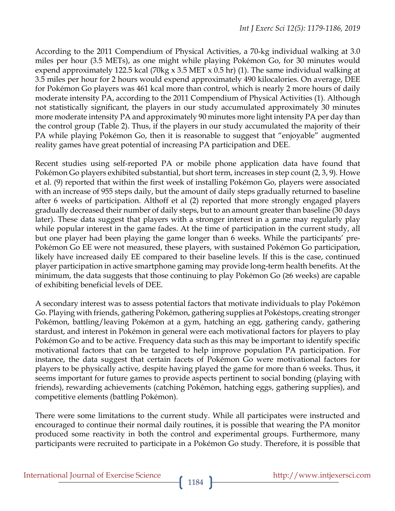According to the 2011 Compendium of Physical Activities, a 70-kg individual walking at 3.0 miles per hour (3.5 METs), as one might while playing Pokémon Go, for 30 minutes would expend approximately 122.5 kcal (70kg x 3.5 MET x 0.5 hr) (1). The same individual walking at 3.5 miles per hour for 2 hours would expend approximately 490 kilocalories. On average, DEE for Pokémon Go players was 461 kcal more than control, which is nearly 2 more hours of daily moderate intensity PA, according to the 2011 Compendium of Physical Activities (1). Although not statistically significant, the players in our study accumulated approximately 30 minutes more moderate intensity PA and approximately 90 minutes more light intensity PA per day than the control group (Table 2). Thus, if the players in our study accumulated the majority of their PA while playing Pokémon Go, then it is reasonable to suggest that "enjoyable" augmented reality games have great potential of increasing PA participation and DEE.

Recent studies using self-reported PA or mobile phone application data have found that Pokémon Go players exhibited substantial, but short term, increases in step count (2, 3, 9). Howe et al. (9) reported that within the first week of installing Pokémon Go, players were associated with an increase of 955 steps daily, but the amount of daily steps gradually returned to baseline after 6 weeks of participation. Althoff et al (2) reported that more strongly engaged players gradually decreased their number of daily steps, but to an amount greater than baseline (30 days later). These data suggest that players with a stronger interest in a game may regularly play while popular interest in the game fades. At the time of participation in the current study, all but one player had been playing the game longer than 6 weeks. While the participants' pre-Pokémon Go EE were not measured, these players, with sustained Pokémon Go participation, likely have increased daily EE compared to their baseline levels. If this is the case, continued player participation in active smartphone gaming may provide long-term health benefits. At the minimum, the data suggests that those continuing to play Pokémon Go (≥6 weeks) are capable of exhibiting beneficial levels of DEE.

A secondary interest was to assess potential factors that motivate individuals to play Pokémon Go. Playing with friends, gathering Pokémon, gathering supplies at Pokéstops, creating stronger Pokémon, battling/leaving Pokémon at a gym, hatching an egg, gathering candy, gathering stardust, and interest in Pokémon in general were each motivational factors for players to play Pokémon Go and to be active. Frequency data such as this may be important to identify specific motivational factors that can be targeted to help improve population PA participation. For instance, the data suggest that certain facets of Pokémon Go were motivational factors for players to be physically active, despite having played the game for more than 6 weeks. Thus, it seems important for future games to provide aspects pertinent to social bonding (playing with friends), rewarding achievements (catching Pokémon, hatching eggs, gathering supplies), and competitive elements (battling Pokémon).

There were some limitations to the current study. While all participates were instructed and encouraged to continue their normal daily routines, it is possible that wearing the PA monitor produced some reactivity in both the control and experimental groups. Furthermore, many participants were recruited to participate in a Pokémon Go study. Therefore, it is possible that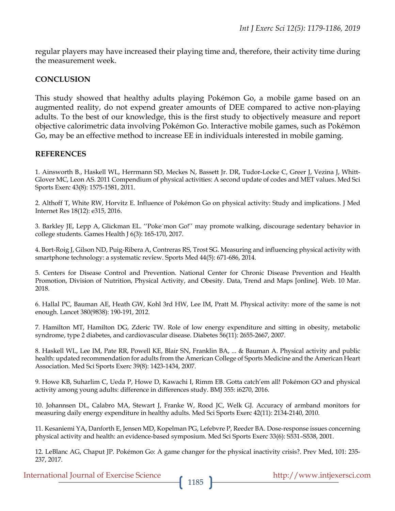regular players may have increased their playing time and, therefore, their activity time during the measurement week.

#### **CONCLUSION**

This study showed that healthy adults playing Pokémon Go, a mobile game based on an augmented reality, do not expend greater amounts of DEE compared to active non-playing adults. To the best of our knowledge, this is the first study to objectively measure and report objective calorimetric data involving Pokémon Go. Interactive mobile games, such as Pokémon Go, may be an effective method to increase EE in individuals interested in mobile gaming.

#### **REFERENCES**

1. Ainsworth B., Haskell WL, Herrmann SD, Meckes N, Bassett Jr. DR, Tudor-Locke C, Greer J, Vezina J, Whitt-Glover MC, Leon AS. 2011 Compendium of physical activities: A second update of codes and MET values. Med Sci Sports Exerc 43(8): 1575-1581, 2011.

2. Althoff T, White RW, Horvitz E. Influence of Pokémon Go on physical activity: Study and implications. J Med Internet Res 18(12): e315, 2016.

3. Barkley JE, Lepp A, Glickman EL. ''Poke´mon Go!'' may promote walking, discourage sedentary behavior in college students. Games Health J 6(3): 165-170, 2017.

4. Bort-Roig J, Gilson ND, Puig-Ribera A, Contreras RS, Trost SG. Measuring and influencing physical activity with smartphone technology: a systematic review. Sports Med 44(5): 671-686, 2014.

5. Centers for Disease Control and Prevention. National Center for Chronic Disease Prevention and Health Promotion, Division of Nutrition, Physical Activity, and Obesity. Data, Trend and Maps [online]. Web. 10 Mar. 2018.

6. Hallal PC, Bauman AE, Heath GW, Kohl 3rd HW, Lee IM, Pratt M. Physical activity: more of the same is not enough. Lancet 380(9838): 190-191, 2012.

7. Hamilton MT, Hamilton DG, Zderic TW. Role of low energy expenditure and sitting in obesity, metabolic syndrome, type 2 diabetes, and cardiovascular disease. Diabetes 56(11): 2655-2667, 2007.

8. Haskell WL, Lee IM, Pate RR, Powell KE, Blair SN, Franklin BA, ... & Bauman A. Physical activity and public health: updated recommendation for adults from the American College of Sports Medicine and the American Heart Association. Med Sci Sports Exerc 39(8): 1423-1434, 2007.

9. Howe KB, Suharlim C, Ueda P, Howe D, Kawachi I, Rimm EB. Gotta catch'em all! Pokémon GO and physical activity among young adults: difference in differences study. BMJ 355: i6270, 2016.

10. Johannsen DL, Calabro MA, Stewart J, Franke W, Rood JC, Welk GJ. Accuracy of armband monitors for measuring daily energy expenditure in healthy adults. Med Sci Sports Exerc 42(11): 2134-2140, 2010.

11. Kesaniemi YA, Danforth E, Jensen MD, Kopelman PG, Lefebvre P, Reeder BA. Dose-response issues concerning physical activity and health: an evidence-based symposium. Med Sci Sports Exerc 33(6): S531–S538, 2001.

12. LeBlanc AG, Chaput JP. Pokémon Go: A game changer for the physical inactivity crisis?. Prev Med, 101: 235- 237, 2017.